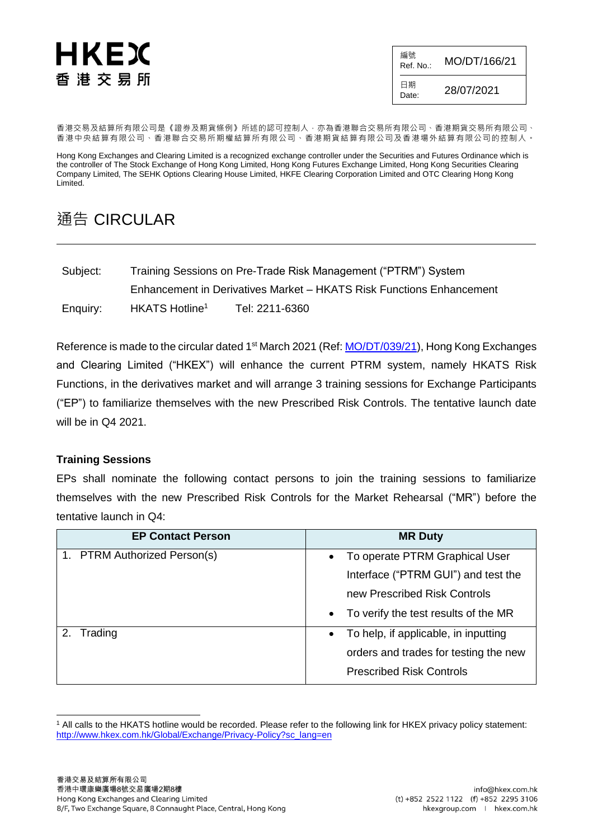## HKEX 香港交易所

編號  $R_{\text{Ref. No.:}}$  MO/DT/166/21 日期  $D_{\text{late}}$  28/07/2021

香港交易及結算所有限公司是《證券及期貨條例》所述的認可控制人,亦為香港聯合交易所有限公司、香港期貨交易所有限公司、 香港中央結算有限公司、香港聯合交易所期權結算所有限公司、香港期貨結算有限公司及香港場外結算有限公司的控制人。

Hong Kong Exchanges and Clearing Limited is a recognized exchange controller under the Securities and Futures Ordinance which is the controller of The Stock Exchange of Hong Kong Limited, Hong Kong Futures Exchange Limited, Hong Kong Securities Clearing Company Limited, The SEHK Options Clearing House Limited, HKFE Clearing Corporation Limited and OTC Clearing Hong Kong Limited.

## 通告 CIRCULAR

| Subject: | Training Sessions on Pre-Trade Risk Management ("PTRM") System       |                |  |  |  |  |
|----------|----------------------------------------------------------------------|----------------|--|--|--|--|
|          | Enhancement in Derivatives Market - HKATS Risk Functions Enhancement |                |  |  |  |  |
| Enquiry: | HKATS Hotline <sup>1</sup>                                           | Tel: 2211-6360 |  |  |  |  |

Reference is made to the circular dated 1<sup>st</sup> March 2021 (Ref: [MO/DT/039/21\)](https://www.hkex.com.hk/-/media/HKEX-Market/Services/Circulars-and-Notices/Participant-and-Members-Circulars/HKFE/2021/MO_DT_039_21_e.pdf?la=en), Hong Kong Exchanges and Clearing Limited ("HKEX") will enhance the current PTRM system, namely HKATS Risk Functions, in the derivatives market and will arrange 3 training sessions for Exchange Participants ("EP") to familiarize themselves with the new Prescribed Risk Controls. The tentative launch date will be in Q4 2021.

## **Training Sessions**

EPs shall nominate the following contact persons to join the training sessions to familiarize themselves with the new Prescribed Risk Controls for the Market Rehearsal ("MR") before the tentative launch in Q4:

| <b>EP Contact Person</b>     | <b>MR Duty</b>                         |  |  |  |
|------------------------------|----------------------------------------|--|--|--|
| 1. PTRM Authorized Person(s) | • To operate PTRM Graphical User       |  |  |  |
|                              | Interface ("PTRM GUI") and test the    |  |  |  |
|                              | new Prescribed Risk Controls           |  |  |  |
|                              | • To verify the test results of the MR |  |  |  |
| 2. Trading                   | • To help, if applicable, in inputting |  |  |  |
|                              | orders and trades for testing the new  |  |  |  |
|                              | <b>Prescribed Risk Controls</b>        |  |  |  |

l <sup>1</sup> All calls to the HKATS hotline would be recorded. Please refer to the following link for HKEX privacy policy statement: [http://www.hkex.com.hk/Global/Exchange/Privacy-Policy?sc\\_lang=en](http://www.hkex.com.hk/Global/Exchange/Privacy-Policy?sc_lang=en)